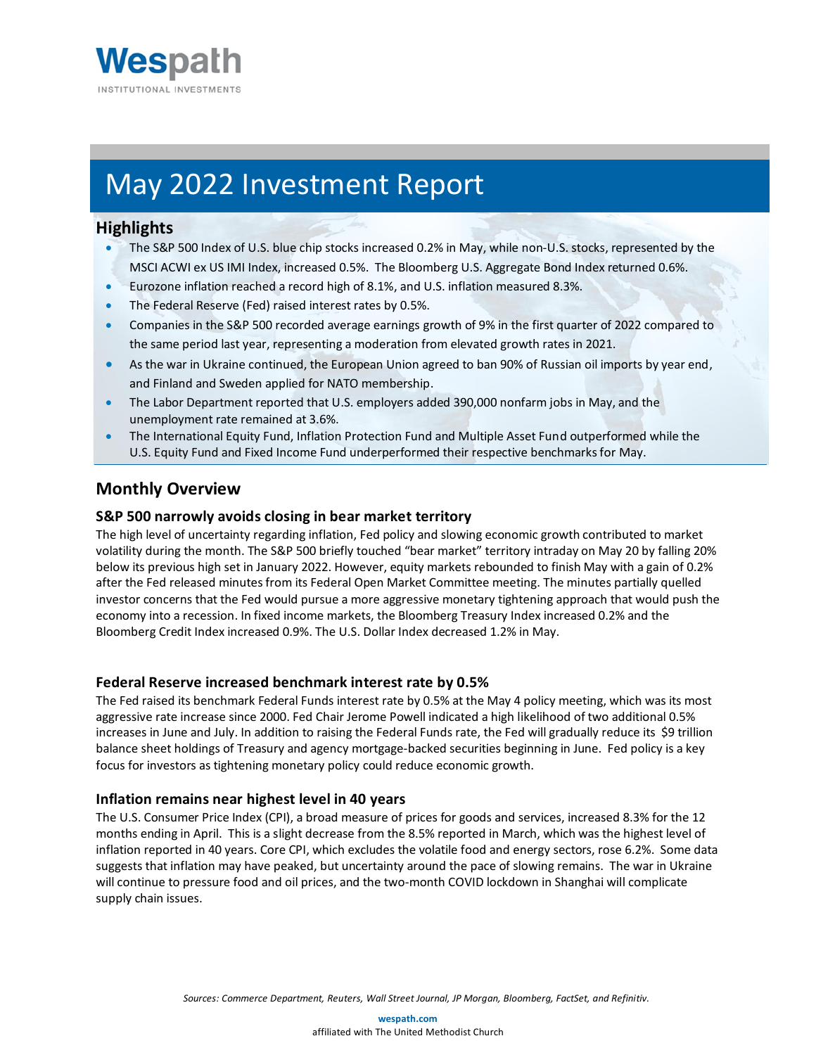

# May 2022 Investment Report

# **Highlights**

- The S&P 500 Index of U.S. blue chip stocks increased 0.2% in May, while non-U.S. stocks, represented by the MSCI ACWI ex US IMI Index, increased 0.5%. The Bloomberg U.S. Aggregate Bond Index returned 0.6%.
- Eurozone inflation reached a record high of 8.1%, and U.S. inflation measured 8.3%.
- The Federal Reserve (Fed) raised interest rates by 0.5%.
- Companies in the S&P 500 recorded average earnings growth of 9% in the first quarter of 2022 compared to the same period last year, representing a moderation from elevated growth rates in 2021.
- As the war in Ukraine continued, the European Union agreed to ban 90% of Russian oil imports by year end, and Finland and Sweden applied for NATO membership.
- The Labor Department reported that U.S. employers added 390,000 nonfarm jobs in May, and the unemployment rate remained at 3.6%.
- The International Equity Fund, Inflation Protection Fund and Multiple Asset Fund outperformed while the U.S. Equity Fund and Fixed Income Fund underperformed their respective benchmarks for May.

# **Monthly Overview**

# **S&P 500 narrowly avoids closing in bear market territory**

The high level of uncertainty regarding inflation, Fed policy and slowing economic growth contributed to market volatility during the month. The S&P 500 briefly touched "bear market" territory intraday on May 20 by falling 20% below its previous high set in January 2022. However, equity markets rebounded to finish May with a gain of 0.2% after the Fed released minutes from its Federal Open Market Committee meeting. The minutes partially quelled investor concerns that the Fed would pursue a more aggressive monetary tightening approach that would push the economy into a recession. In fixed income markets, the Bloomberg Treasury Index increased 0.2% and the Bloomberg Credit Index increased 0.9%. The U.S. Dollar Index decreased 1.2% in May.

# **Federal Reserve increased benchmark interest rate by 0.5%**

The Fed raised its benchmark Federal Funds interest rate by 0.5% at the May 4 policy meeting, which was its most aggressive rate increase since 2000. Fed Chair Jerome Powell indicated a high likelihood of two additional 0.5% increases in June and July. In addition to raising the Federal Funds rate, the Fed will gradually reduce its \$9 trillion balance sheet holdings of Treasury and agency mortgage-backed securities beginning in June. Fed policy is a key focus for investors as tightening monetary policy could reduce economic growth.

# **Inflation remains near highest level in 40 years**

The U.S. Consumer Price Index (CPI), a broad measure of prices for goods and services, increased 8.3% for the 12 months ending in April. This is a slight decrease from the 8.5% reported in March, which was the highest level of inflation reported in 40 years. Core CPI, which excludes the volatile food and energy sectors, rose 6.2%. Some data suggests that inflation may have peaked, but uncertainty around the pace of slowing remains. The war in Ukraine will continue to pressure food and oil prices, and the two-month COVID lockdown in Shanghai will complicate supply chain issues.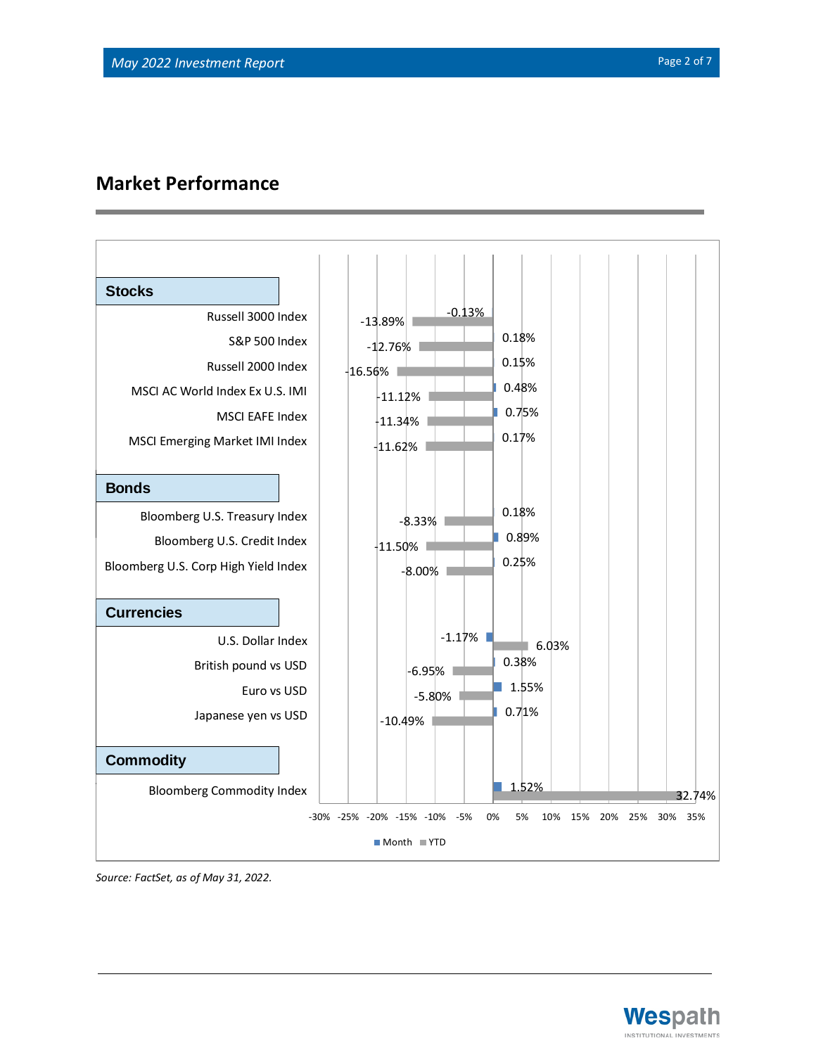# **Market Performance**



*Source: FactSet, as of May 31, 2022.*

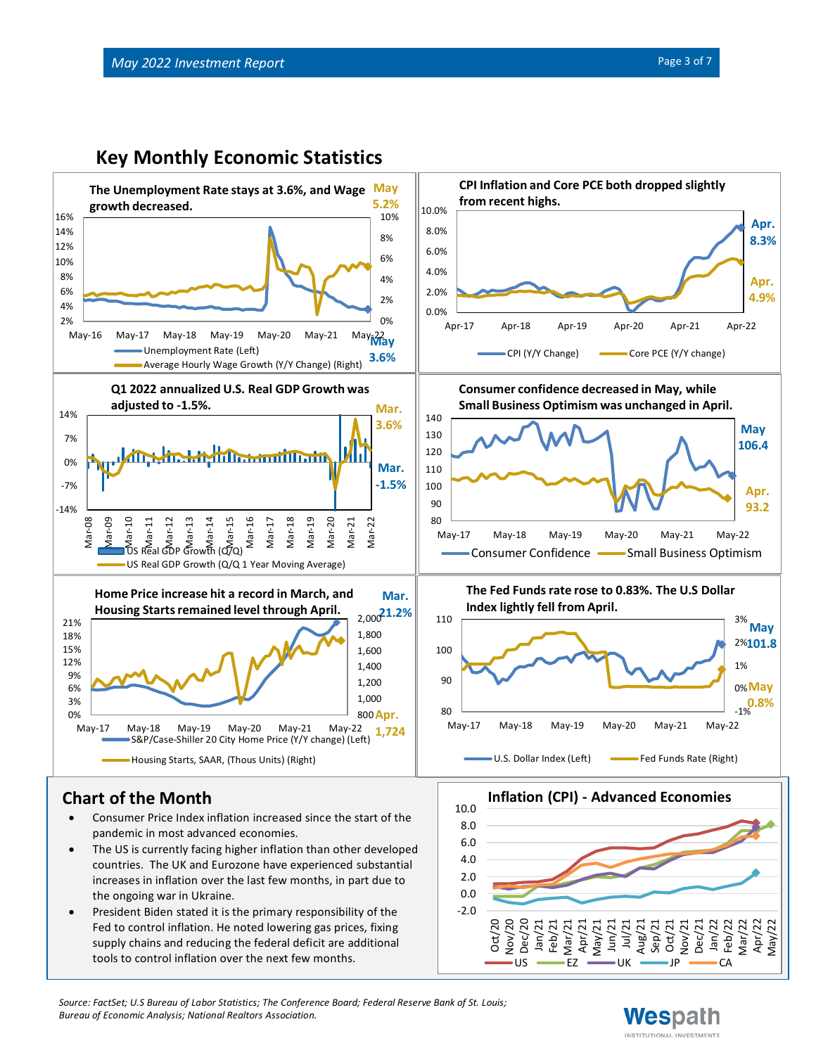

- The US is currently facing higher inflation than other developed countries. The UK and Eurozone have experienced substantial increases in inflation over the last few months, in part due to the ongoing war in Ukraine.
- President Biden stated it is the primary responsibility of the Fed to control inflation. He noted lowering gas prices, fixing supply chains and reducing the federal deficit are additional tools to control inflation over the next few months.



*Source: FactSet; U.S Bureau of Labor Statistics; The Conference Board; Federal Reserve Bank of St. Louis; Bureau of Economic Analysis; National Realtors Association.*

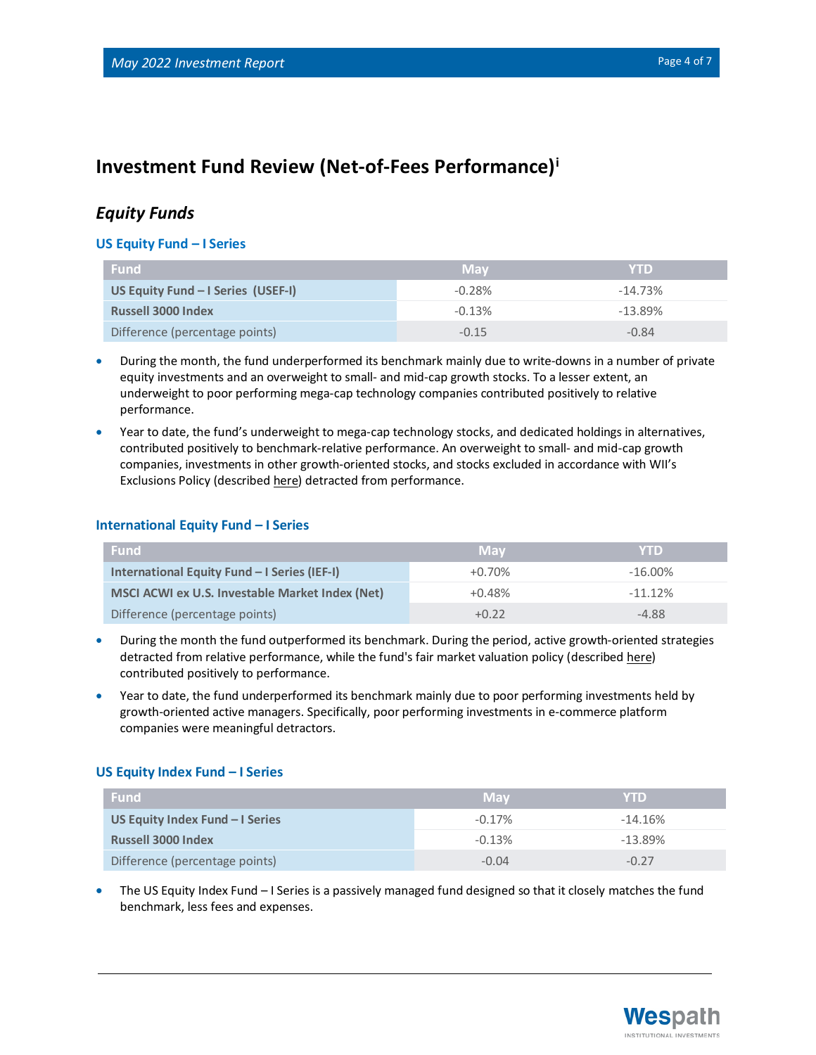# **Investment Fund Review (Net-of-Fees Performance)<sup>i</sup>**

# *Equity Funds*

#### **US Equity Fund – I Series**

| l Fund                             | <b>May</b> | <b>YTD</b> |
|------------------------------------|------------|------------|
| US Equity Fund - I Series (USEF-I) | $-0.28%$   | $-14.73%$  |
| <b>Russell 3000 Index</b>          | $-0.13%$   | $-13.89%$  |
| Difference (percentage points)     | $-0.15$    | $-0.84$    |

- During the month, the fund underperformed its benchmark mainly due to write-downs in a number of private equity investments and an overweight to small- and mid-cap growth stocks. To a lesser extent, an underweight to poor performing mega-cap technology companies contributed positively to relative performance.
- Year to date, the fund's underweight to mega-cap technology stocks, and dedicated holdings in alternatives, contributed positively to benchmark-relative performance. An overweight to small- and mid-cap growth companies, investments in other growth-oriented stocks, and stocks excluded in accordance with WII's Exclusions Policy (described [here\)](https://www.wespath.com/sustainable-investment/investment-exclusions) detracted from performance.

#### **International Equity Fund – I Series**

| <b>Fund</b>                                     | <b>May</b> | <b>YTD</b> |
|-------------------------------------------------|------------|------------|
| International Equity Fund - I Series (IEF-I)    | $+0.70%$   | $-16.00\%$ |
| MSCI ACWI ex U.S. Investable Market Index (Net) | $+0.48%$   | $-11.12%$  |
| Difference (percentage points)                  | $+0.22$    | $-4.88$    |

- During the month the fund outperformed its benchmark. During the period, active growth-oriented strategies detracted from relative performance, while the fund's fair market valuation policy (described [here\)](https://www.wespath.org/Fund-Performance/SVCEF#fund-detail-tabs-risk) contributed positively to performance.
- Year to date, the fund underperformed its benchmark mainly due to poor performing investments held by growth-oriented active managers. Specifically, poor performing investments in e-commerce platform companies were meaningful detractors.

## **US Equity Index Fund – I Series**

| <b>Fund</b>                     | <b>May</b> | <b>YTD</b> |
|---------------------------------|------------|------------|
| US Equity Index Fund - I Series | $-0.17%$   | $-14.16%$  |
| <b>Russell 3000 Index</b>       | $-0.13%$   | $-13.89%$  |
| Difference (percentage points)  | $-0.04$    | $-0.27$    |

• The US Equity Index Fund – I Series is a passively managed fund designed so that it closely matches the fund benchmark, less fees and expenses.

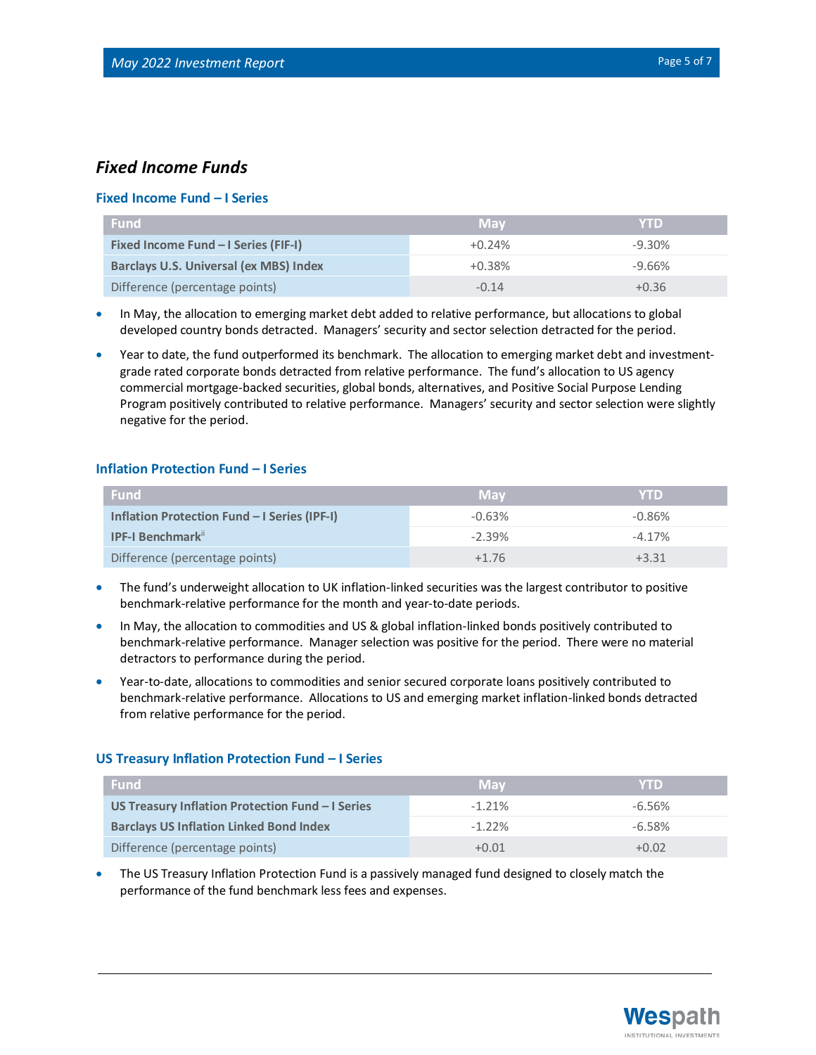# *Fixed Income Funds*

## **Fixed Income Fund – I Series**

| <b>Fund</b>                                   | <b>May</b> | <b>YTD</b> |
|-----------------------------------------------|------------|------------|
| Fixed Income Fund - I Series (FIF-I)          | $+0.24%$   | $-9.30\%$  |
| <b>Barclays U.S. Universal (ex MBS) Index</b> | $+0.38%$   | $-9.66%$   |
| Difference (percentage points)                | $-0.14$    | $+0.36$    |

- In May, the allocation to emerging market debt added to relative performance, but allocations to global developed country bonds detracted. Managers' security and sector selection detracted for the period.
- Year to date, the fund outperformed its benchmark. The allocation to emerging market debt and investmentgrade rated corporate bonds detracted from relative performance. The fund's allocation to US agency commercial mortgage-backed securities, global bonds, alternatives, and Positive Social Purpose Lending Program positively contributed to relative performance. Managers' security and sector selection were slightly negative for the period.

## **Inflation Protection Fund – I Series**

| <b>Fund</b>                                         | <b>May</b> | <b>YTD</b> |
|-----------------------------------------------------|------------|------------|
| <b>Inflation Protection Fund - I Series (IPF-I)</b> | $-0.63%$   | $-0.86%$   |
| <b>IPF-I Benchmark</b> <sup>ii</sup>                | $-2.39%$   | $-4.17%$   |
| Difference (percentage points)                      | $+1\,76$   | +3 31      |

- The fund's underweight allocation to UK inflation-linked securities was the largest contributor to positive benchmark-relative performance for the month and year-to-date periods.
- In May, the allocation to commodities and US & global inflation-linked bonds positively contributed to benchmark-relative performance. Manager selection was positive for the period. There were no material detractors to performance during the period.
- Year-to-date, allocations to commodities and senior secured corporate loans positively contributed to benchmark-relative performance. Allocations to US and emerging market inflation-linked bonds detracted from relative performance for the period.

#### **US Treasury Inflation Protection Fund – I Series**

| <b>Fund</b>                                      | <b>May</b> | <b>YTD</b> |
|--------------------------------------------------|------------|------------|
| US Treasury Inflation Protection Fund - I Series | $-1.21\%$  | $-6.56\%$  |
| <b>Barclays US Inflation Linked Bond Index</b>   | $-1.22\%$  | $-6.58\%$  |
| Difference (percentage points)                   | $+0.01$    | $+0.02$    |

• The US Treasury Inflation Protection Fund is a passively managed fund designed to closely match the performance of the fund benchmark less fees and expenses.

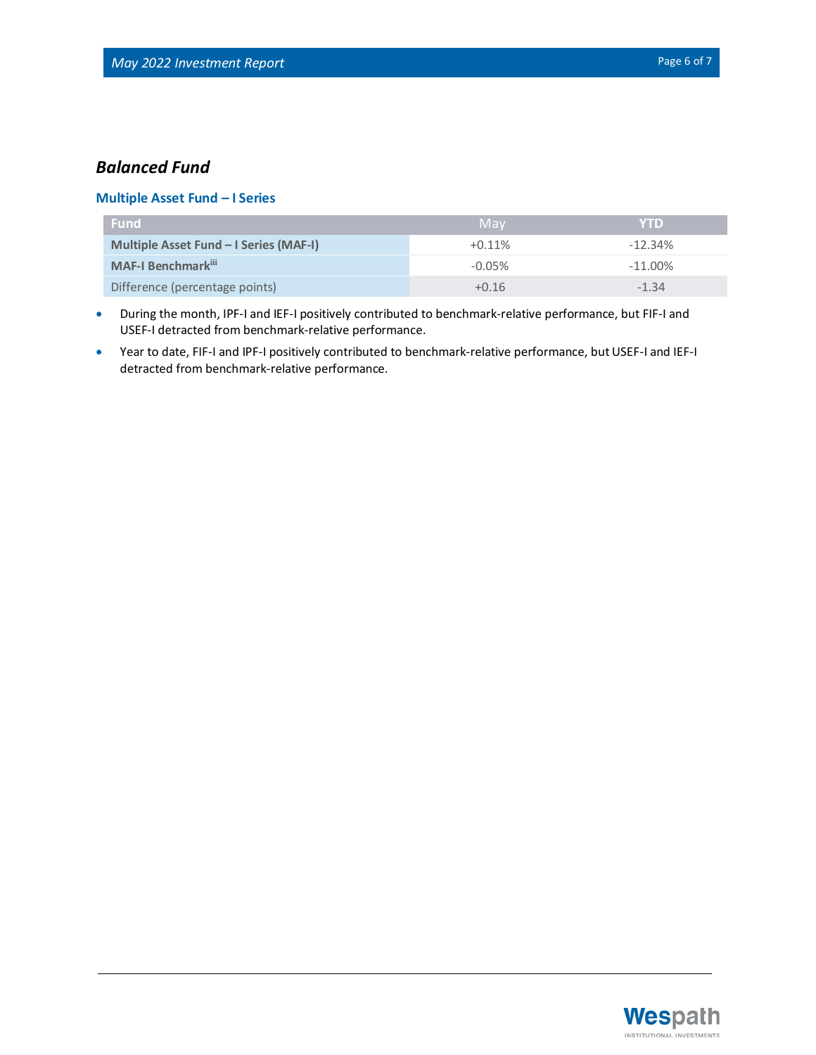# *Balanced Fund*

## **Multiple Asset Fund – I Series**

| l Fund'                                | May       | <b>YTD</b> |
|----------------------------------------|-----------|------------|
| Multiple Asset Fund – I Series (MAF-I) | $+0.11\%$ | $-12.34\%$ |
| <b>MAF-I Benchmark</b> ii              | $-0.05\%$ | $-11.00\%$ |
| Difference (percentage points)         | $+0.16$   | $-1.34$    |

- During the month, IPF-I and IEF-I positively contributed to benchmark-relative performance, but FIF-I and USEF-I detracted from benchmark-relative performance.
- Year to date, FIF-I and IPF-I positively contributed to benchmark-relative performance, but USEF-I and IEF-I detracted from benchmark-relative performance.